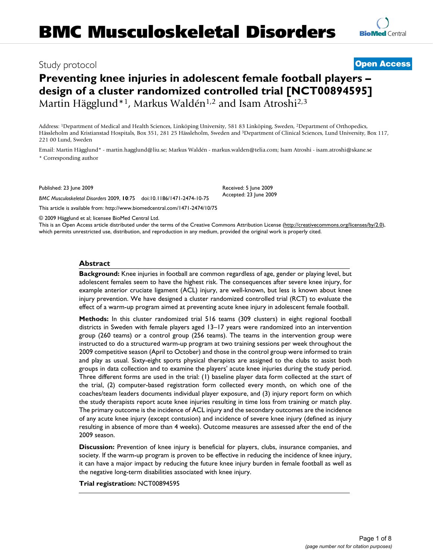## Study protocol **[Open Access](http://www.biomedcentral.com/info/about/charter/)**

# **Preventing knee injuries in adolescent female football players – design of a cluster randomized controlled trial [NCT00894595]** Martin Hägglund\*<sup>1</sup>, Markus Waldén<sup>1,2</sup> and Isam Atroshi<sup>2,3</sup>

Address: 1Department of Medical and Health Sciences, Linköping University, 581 83 Linköping, Sweden, 2Department of Orthopedics, Hässleholm and Kristianstad Hospitals, Box 351, 281 25 Hässleholm, Sweden and 3Department of Clinical Sciences, Lund University, Box 117, 221 00 Lund, Sweden

Email: Martin Hägglund\* - martin.hagglund@liu.se; Markus Waldén - markus.walden@telia.com; Isam Atroshi - isam.atroshi@skane.se \* Corresponding author

Published: 23 June 2009

*BMC Musculoskeletal Disorders* 2009, **10**:75 doi:10.1186/1471-2474-10-75

[This article is available from: http://www.biomedcentral.com/1471-2474/10/75](http://www.biomedcentral.com/1471-2474/10/75)

© 2009 Hägglund et al; licensee BioMed Central Ltd.

This is an Open Access article distributed under the terms of the Creative Commons Attribution License [\(http://creativecommons.org/licenses/by/2.0\)](http://creativecommons.org/licenses/by/2.0), which permits unrestricted use, distribution, and reproduction in any medium, provided the original work is properly cited.

#### **Abstract**

**Background:** Knee injuries in football are common regardless of age, gender or playing level, but adolescent females seem to have the highest risk. The consequences after severe knee injury, for example anterior cruciate ligament (ACL) injury, are well-known, but less is known about knee injury prevention. We have designed a cluster randomized controlled trial (RCT) to evaluate the effect of a warm-up program aimed at preventing acute knee injury in adolescent female football.

**Methods:** In this cluster randomized trial 516 teams (309 clusters) in eight regional football districts in Sweden with female players aged 13–17 years were randomized into an intervention group (260 teams) or a control group (256 teams). The teams in the intervention group were instructed to do a structured warm-up program at two training sessions per week throughout the 2009 competitive season (April to October) and those in the control group were informed to train and play as usual. Sixty-eight sports physical therapists are assigned to the clubs to assist both groups in data collection and to examine the players' acute knee injuries during the study period. Three different forms are used in the trial: (1) baseline player data form collected at the start of the trial, (2) computer-based registration form collected every month, on which one of the coaches/team leaders documents individual player exposure, and (3) injury report form on which the study therapists report acute knee injuries resulting in time loss from training or match play. The primary outcome is the incidence of ACL injury and the secondary outcomes are the incidence of any acute knee injury (except contusion) and incidence of severe knee injury (defined as injury resulting in absence of more than 4 weeks). Outcome measures are assessed after the end of the 2009 season.

**Discussion:** Prevention of knee injury is beneficial for players, clubs, insurance companies, and society. If the warm-up program is proven to be effective in reducing the incidence of knee injury, it can have a major impact by reducing the future knee injury burden in female football as well as the negative long-term disabilities associated with knee injury.

**Trial registration:** NCT00894595

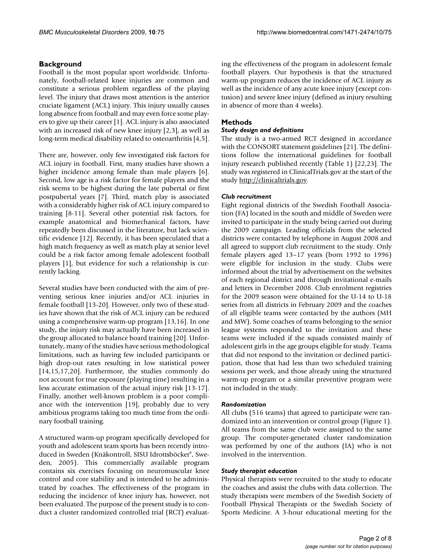## **Background**

Football is the most popular sport worldwide. Unfortunately, football-related knee injuries are common and constitute a serious problem regardless of the playing level. The injury that draws most attention is the anterior cruciate ligament (ACL) injury. This injury usually causes long absence from football and may even force some players to give up their career [1]. ACL injury is also associated with an increased risk of new knee injury [2,3], as well as long-term medical disability related to osteoarthritis [4,5].

There are, however, only few investigated risk factors for ACL injury in football. First, many studies have shown a higher incidence among female than male players [6]. Second, low age is a risk factor for female players and the risk seems to be highest during the late pubertal or first postpubertal years [7]. Third, match play is associated with a considerably higher risk of ACL injury compared to training [8-11]. Several other potential risk factors, for example anatomical and biomechanical factors, have repeatedly been discussed in the literature, but lack scientific evidence [12]. Recently, it has been speculated that a high match frequency as well as match play at senior level could be a risk factor among female adolescent football players [1], but evidence for such a relationship is currently lacking.

Several studies have been conducted with the aim of preventing serious knee injuries and/or ACL injuries in female football [13-20]. However, only two of these studies have shown that the risk of ACL injury can be reduced using a comprehensive warm-up program [13,16]. In one study, the injury risk may actually have been increased in the group allocated to balance board training [20]. Unfortunately, many of the studies have serious methodological limitations, such as having few included participants or high drop-out rates resulting in low statistical power [14,15,17,20]. Furthermore, the studies commonly do not account for true exposure (playing time) resulting in a less accurate estimation of the actual injury risk [13-17]. Finally, another well-known problem is a poor compliance with the intervention [19], probably due to very ambitious programs taking too much time from the ordinary football training.

A structured warm-up program specifically developed for youth and adolescent team sports has been recently introduced in Sweden (Knäkontroll, SISU Idrottsböcker©, Sweden, 2005). This commercially available program contains six exercises focusing on neuromuscular knee control and core stability and is intended to be administrated by coaches. The effectiveness of the program in reducing the incidence of knee injury has, however, not been evaluated. The purpose of the present study is to conduct a cluster randomized controlled trial (RCT) evaluating the effectiveness of the program in adolescent female football players. Our hypothesis is that the structured warm-up program reduces the incidence of ACL injury as well as the incidence of any acute knee injury (except contusion) and severe knee injury (defined as injury resulting in absence of more than 4 weeks).

## **Methods**

## *Study design and definitions*

The study is a two-armed RCT designed in accordance with the CONSORT statement guidelines [21]. The definitions follow the international guidelines for football injury research published recently (Table 1) [22,23]. The study was registered in ClinicalTrials.gov at the start of the study<http://clinicaltrials.gov>.

## *Club recruitment*

Eight regional districts of the Swedish Football Association (FA) located in the south and middle of Sweden were invited to participate in the study being carried out during the 2009 campaign. Leading officials from the selected districts were contacted by telephone in August 2008 and all agreed to support club recruitment to the study. Only female players aged 13–17 years (born 1992 to 1996) were eligible for inclusion in the study. Clubs were informed about the trial by advertisement on the websites of each regional district and through invitational e-mails and letters in December 2008. Club enrolment registries for the 2009 season were obtained for the U-14 to U-18 series from all districts in February 2009 and the coaches of all eligible teams were contacted by the authors (MH and MW). Some coaches of teams belonging to the senior league systems responded to the invitation and these teams were included if the squads consisted mainly of adolescent girls in the age groups eligible for study. Teams that did not respond to the invitation or declined participation, those that had less than two scheduled training sessions per week, and those already using the structured warm-up program or a similar preventive program were not included in the study.

## *Randomization*

All clubs (516 teams) that agreed to participate were randomized into an intervention or control group (Figure 1). All teams from the same club were assigned to the same group. The computer-generated cluster randomization was performed by one of the authors (IA) who is not involved in the intervention.

## *Study therapist education*

Physical therapists were recruited to the study to educate the coaches and assist the clubs with data collection. The study therapists were members of the Swedish Society of Football Physical Therapists or the Swedish Society of Sports Medicine. A 3-hour educational meeting for the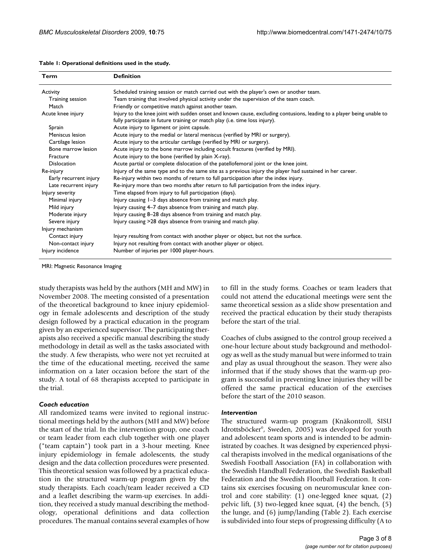| Term                   | <b>Definition</b>                                                                                                                                                                                    |
|------------------------|------------------------------------------------------------------------------------------------------------------------------------------------------------------------------------------------------|
| Activity               | Scheduled training session or match carried out with the player's own or another team.                                                                                                               |
| Training session       | Team training that involved physical activity under the supervision of the team coach.                                                                                                               |
| Match                  | Friendly or competitive match against another team.                                                                                                                                                  |
| Acute knee injury      | Injury to the knee joint with sudden onset and known cause, excluding contusions, leading to a player being unable to<br>fully participate in future training or match play (i.e. time loss injury). |
| Sprain                 | Acute injury to ligament or joint capsule.                                                                                                                                                           |
| Meniscus lesion        | Acute injury to the medial or lateral meniscus (verified by MRI or surgery).                                                                                                                         |
| Cartilage lesion       | Acute injury to the articular cartilage (verified by MRI or surgery).                                                                                                                                |
| Bone marrow lesion     | Acute injury to the bone marrow including occult fractures (verified by MRI).                                                                                                                        |
| Fracture               | Acute injury to the bone (verified by plain X-ray).                                                                                                                                                  |
| <b>Dislocation</b>     | Acute partial or complete dislocation of the patellofemoral joint or the knee joint.                                                                                                                 |
| Re-injury              | Injury of the same type and to the same site as a previous injury the player had sustained in her career.                                                                                            |
| Early recurrent injury | Re-injury within two months of return to full participation after the index injury.                                                                                                                  |
| Late recurrent injury  | Re-injury more than two months after return to full participation from the index injury.                                                                                                             |
| Injury severity        | Time elapsed from injury to full participation (days).                                                                                                                                               |
| Minimal injury         | Injury causing I-3 days absence from training and match play.                                                                                                                                        |
| Mild injury            | Injury causing 4–7 days absence from training and match play.                                                                                                                                        |
| Moderate injury        | Injury causing 8-28 days absence from training and match play.                                                                                                                                       |
| Severe injury          | Injury causing >28 days absence from training and match play.                                                                                                                                        |
| Injury mechanism       |                                                                                                                                                                                                      |
| Contact injury         | Injury resulting from contact with another player or object, but not the surface.                                                                                                                    |
| Non-contact injury     | Injury not resulting from contact with another player or object.                                                                                                                                     |
| Injury incidence       | Number of injuries per 1000 player-hours.                                                                                                                                                            |

#### **Table 1: Operational definitions used in the study.**

MRI: Magnetic Resonance Imaging

study therapists was held by the authors (MH and MW) in November 2008. The meeting consisted of a presentation of the theoretical background to knee injury epidemiology in female adolescents and description of the study design followed by a practical education in the program given by an experienced supervisor. The participating therapists also received a specific manual describing the study methodology in detail as well as the tasks associated with the study. A few therapists, who were not yet recruited at the time of the educational meeting, received the same information on a later occasion before the start of the study. A total of 68 therapists accepted to participate in the trial.

#### *Coach education*

All randomized teams were invited to regional instructional meetings held by the authors (MH and MW) before the start of the trial. In the intervention group, one coach or team leader from each club together with one player ("team captain") took part in a 3-hour meeting. Knee injury epidemiology in female adolescents, the study design and the data collection procedures were presented. This theoretical session was followed by a practical education in the structured warm-up program given by the study therapists. Each coach/team leader received a CD and a leaflet describing the warm-up exercises. In addition, they received a study manual describing the methodology, operational definitions and data collection procedures. The manual contains several examples of how to fill in the study forms. Coaches or team leaders that could not attend the educational meetings were sent the same theoretical session as a slide show presentation and received the practical education by their study therapists before the start of the trial.

Coaches of clubs assigned to the control group received a one-hour lecture about study background and methodology as well as the study manual but were informed to train and play as usual throughout the season. They were also informed that if the study shows that the warm-up program is successful in preventing knee injuries they will be offered the same practical education of the exercises before the start of the 2010 season.

#### *Intervention*

The structured warm-up program (Knäkontroll, SISU Idrottsböcker©, Sweden, 2005) was developed for youth and adolescent team sports and is intended to be administrated by coaches. It was designed by experienced physical therapists involved in the medical organisations of the Swedish Football Association (FA) in collaboration with the Swedish Handball Federation, the Swedish Basketball Federation and the Swedish Floorball Federation. It contains six exercises focusing on neuromuscular knee control and core stability: (1) one-legged knee squat, (2) pelvic lift, (3) two-legged knee squat, (4) the bench, (5) the lunge, and (6) jump/landing (Table 2). Each exercise is subdivided into four steps of progressing difficulty (A to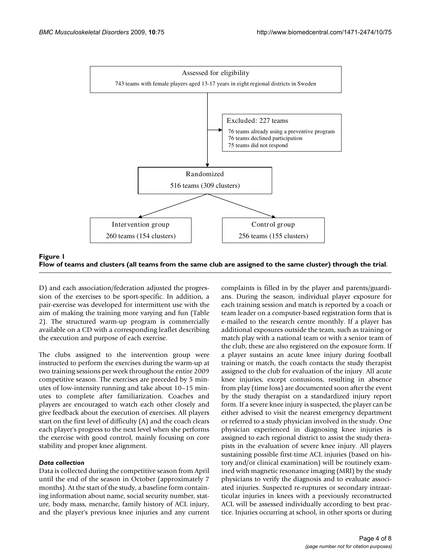

Flow of teams and clusters **Figure 1** (all teams from the same club are assigned to the same cluster) through the trial **Flow of teams and clusters (all teams from the same club are assigned to the same cluster) through the trial**.

D) and each association/federation adjusted the progression of the exercises to be sport-specific. In addition, a pair-exercise was developed for intermittent use with the aim of making the training more varying and fun (Table 2). The structured warm-up program is commercially available on a CD with a corresponding leaflet describing the execution and purpose of each exercise.

The clubs assigned to the intervention group were instructed to perform the exercises during the warm-up at two training sessions per week throughout the entire 2009 competitive season. The exercises are preceded by 5 minutes of low-intensity running and take about 10–15 minutes to complete after familiarization. Coaches and players are encouraged to watch each other closely and give feedback about the execution of exercises. All players start on the first level of difficulty (A) and the coach clears each player's progress to the next level when she performs the exercise with good control, mainly focusing on core stability and proper knee alignment.

## *Data collection*

Data is collected during the competitive season from April until the end of the season in October (approximately 7 months). At the start of the study, a baseline form containing information about name, social security number, stature, body mass, menarche, family history of ACL injury, and the player's previous knee injuries and any current complaints is filled in by the player and parents/guardians. During the season, individual player exposure for each training session and match is reported by a coach or team leader on a computer-based registration form that is e-mailed to the research centre monthly. If a player has additional exposures outside the team, such as training or match play with a national team or with a senior team of the club, these are also registered on the exposure form. If a player sustains an acute knee injury during football training or match, the coach contacts the study therapist assigned to the club for evaluation of the injury. All acute knee injuries, except contusions, resulting in absence from play (time loss) are documented soon after the event by the study therapist on a standardized injury report form. If a severe knee injury is suspected, the player can be either advised to visit the nearest emergency department or referred to a study physician involved in the study. One physician experienced in diagnosing knee injuries is assigned to each regional district to assist the study therapists in the evaluation of severe knee injury. All players sustaining possible first-time ACL injuries (based on history and/or clinical examination) will be routinely examined with magnetic resonance imaging (MRI) by the study physicians to verify the diagnosis and to evaluate associated injuries. Suspected re-ruptures or secondary intraarticular injuries in knees with a previously reconstructed ACL will be assessed individually according to best practice. Injuries occurring at school, in other sports or during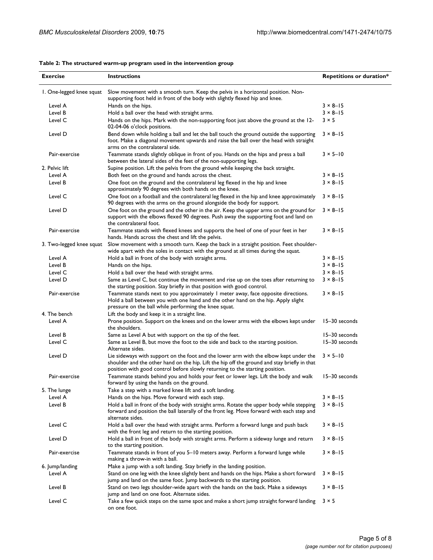| <b>Exercise</b>          | <b>Instructions</b>                                                                                                                                                                                                                                                   | <b>Repetitions or duration*</b> |  |
|--------------------------|-----------------------------------------------------------------------------------------------------------------------------------------------------------------------------------------------------------------------------------------------------------------------|---------------------------------|--|
| 1. One-legged knee squat | Slow movement with a smooth turn. Keep the pelvis in a horizontal position. Non-<br>supporting foot held in front of the body with slightly flexed hip and knee.                                                                                                      |                                 |  |
| Level A                  | Hands on the hips.                                                                                                                                                                                                                                                    | $3 \times 8 - 15$               |  |
| Level B                  | Hold a ball over the head with straight arms.                                                                                                                                                                                                                         | $3 \times 8 - 15$               |  |
| Level C                  | Hands on the hips. Mark with the non-supporting foot just above the ground at the 12-<br>02-04-06 o'clock positions.                                                                                                                                                  | $3 \times 5$                    |  |
| Level D                  | Bend down while holding a ball and let the ball touch the ground outside the supporting<br>foot. Make a diagonal movement upwards and raise the ball over the head with straight<br>arms on the contralateral side.                                                   | $3 \times 8 - 15$               |  |
| Pair-exercise            | Teammate stands slightly oblique in front of you. Hands on the hips and press a ball<br>between the lateral sides of the feet of the non-supporting legs.                                                                                                             | $3 \times 5 - 10$               |  |
| 2. Pelvic lift           | Supine position. Lift the pelvis from the ground while keeping the back straight.                                                                                                                                                                                     |                                 |  |
| Level A                  | Both feet on the ground and hands across the chest.                                                                                                                                                                                                                   | $3 \times 8 - 15$               |  |
| Level B                  | One foot on the ground and the contralateral leg flexed in the hip and knee<br>approximately 90 degrees with both hands on the knee.                                                                                                                                  | $3 \times 8 - 15$               |  |
| Level C                  | One foot on a football and the contralateral leg flexed in the hip and knee approximately<br>90 degrees with the arms on the ground alongside the body for support.                                                                                                   | $3 \times 8 - 15$               |  |
| Level D                  | One foot on the ground and the other in the air. Keep the upper arms on the ground for<br>support with the elbows flexed 90 degrees. Push away the supporting foot and land on<br>the contralateral foot.                                                             | $3 \times 8 - 15$               |  |
| Pair-exercise            | Teammate stands with flexed knees and supports the heel of one of your feet in her<br>hands. Hands across the chest and lift the pelvis.                                                                                                                              | $3 \times 8 - 15$               |  |
| 3. Two-legged knee squat | Slow movement with a smooth turn. Keep the back in a straight position. Feet shoulder-<br>wide apart with the soles in contact with the ground at all times during the squat.                                                                                         |                                 |  |
| Level A                  | Hold a ball in front of the body with straight arms.                                                                                                                                                                                                                  | $3 \times 8 - 15$               |  |
| Level B                  | Hands on the hips.                                                                                                                                                                                                                                                    | $3 \times 8 - 15$               |  |
| Level C                  | Hold a ball over the head with straight arms.                                                                                                                                                                                                                         | $3 \times 8 - 15$               |  |
| Level D                  | Same as Level C, but continue the movement and rise up on the toes after returning to<br>the starting position. Stay briefly in that position with good control.                                                                                                      | $3 \times 8 - 15$               |  |
| Pair-exercise            | Teammate stands next to you approximately 1 meter away, face opposite directions.<br>Hold a ball between you with one hand and the other hand on the hip. Apply slight<br>pressure on the ball while performing the knee squat.                                       | $3 \times 8 - 15$               |  |
| 4. The bench             | Lift the body and keep it in a straight line.                                                                                                                                                                                                                         |                                 |  |
| Level A                  | Prone position. Support on the knees and on the lower arms with the elbows kept under<br>the shoulders.                                                                                                                                                               | 15-30 seconds                   |  |
| Level B                  | Same as Level A but with support on the tip of the feet.                                                                                                                                                                                                              | 15-30 seconds                   |  |
| Level C                  | Same as Level B, but move the foot to the side and back to the starting position.<br>Alternate sides.                                                                                                                                                                 | 15-30 seconds                   |  |
| Level D                  | Lie sideways with support on the foot and the lower arm with the elbow kept under the<br>shoulder and the other hand on the hip. Lift the hip off the ground and stay briefly in that<br>position with good control before slowly returning to the starting position. | $3 \times 5 - 10$               |  |
| Pair-exercise            | Teammate stands behind you and holds your feet or lower legs. Lift the body and walk<br>forward by using the hands on the ground.                                                                                                                                     | 15-30 seconds                   |  |
| 5. The lunge             | Take a step with a marked knee lift and a soft landing.                                                                                                                                                                                                               |                                 |  |
| Level A                  | Hands on the hips. Move forward with each step.                                                                                                                                                                                                                       | $3 \times 8 - 15$               |  |
| Level B                  | Hold a ball in front of the body with straight arms. Rotate the upper body while stepping<br>forward and position the ball laterally of the front leg. Move forward with each step and<br>alternate sides.                                                            | $3 \times 8 - 15$               |  |
| Level C                  | Hold a ball over the head with straight arms. Perform a forward lunge and push back<br>with the front leg and return to the starting position.                                                                                                                        | $3 \times 8 - 15$               |  |
| Level D                  | Hold a ball in front of the body with straight arms. Perform a sideway lunge and return<br>to the starting position.                                                                                                                                                  | $3 \times 8 - 15$               |  |
| Pair-exercise            | Teammate stands in front of you 5-10 meters away. Perform a forward lunge while<br>making a throw-in with a ball.                                                                                                                                                     | $3 \times 8 - 15$               |  |
| 6. Jump/landing          | Make a jump with a soft landing. Stay briefly in the landing position.                                                                                                                                                                                                |                                 |  |
| Level A                  | Stand on one leg with the knee slightly bent and hands on the hips. Make a short forward                                                                                                                                                                              | $3 \times 8 - 15$               |  |
| Level B                  | jump and land on the same foot. Jump backwards to the starting position.<br>Stand on two legs shoulder-wide apart with the hands on the back. Make a sideways                                                                                                         | $3 \times 8 - 15$               |  |
|                          | jump and land on one foot. Alternate sides.                                                                                                                                                                                                                           |                                 |  |
| Level C                  | Take a few quick steps on the same spot and make a short jump straight forward landing<br>on one foot.                                                                                                                                                                | $3 \times 5$                    |  |

#### **Table 2: The structured warm-up program used in the intervention group**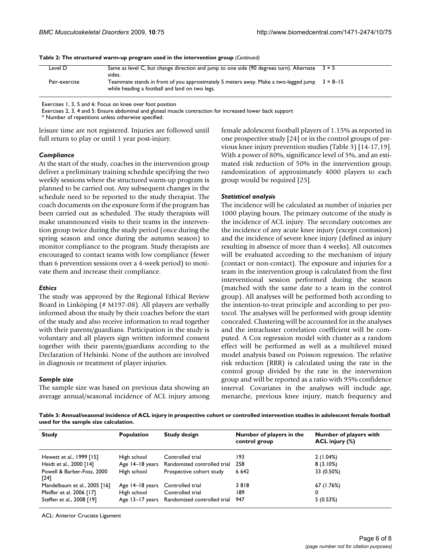|               | .                                                                                                                                     |                   |
|---------------|---------------------------------------------------------------------------------------------------------------------------------------|-------------------|
| Level D       | Same as level C, but change direction and jump to one side (90 degrees turn). Alternate<br>sides.                                     | 3 × 5             |
| Pair-exercise | Teammate stands in front of you approximately 5 meters away. Make a two-legged jump<br>while heading a football and land on two legs. | $3 \times 8 - 15$ |

**Table 2: The structured warm-up program used in the intervention group** *(Continued)*

Exercises 1, 3, 5 and 6: Focus on knee over foot position

Exercises 2, 3, 4 and 5: Ensure abdominal and gluteal muscle contraction for increased lower back support

\* Number of repetitions unless otherwise specified.

leisure time are not registered. Injuries are followed until full return to play or until 1 year post-injury.

#### *Compliance*

At the start of the study, coaches in the intervention group deliver a preliminary training schedule specifying the two weekly sessions where the structured warm-up program is planned to be carried out. Any subsequent changes in the schedule need to be reported to the study therapist. The coach documents on the exposure form if the program has been carried out as scheduled. The study therapists will make unannounced visits to their teams in the intervention group twice during the study period (once during the spring season and once during the autumn season) to monitor compliance to the program. Study therapists are encouraged to contact teams with low compliance (fewer than 6 prevention sessions over a 4-week period) to motivate them and increase their compliance.

#### *Ethics*

The study was approved by the Regional Ethical Review Board in Linköping (# M197-08). All players are verbally informed about the study by their coaches before the start of the study and also receive information to read together with their parents/guardians. Participation in the study is voluntary and all players sign written informed consent together with their parents/guardians according to the Declaration of Helsinki. None of the authors are involved in diagnosis or treatment of player injuries.

#### *Sample size*

The sample size was based on previous data showing an average annual/seasonal incidence of ACL injury among female adolescent football players of 1.15% as reported in one prospective study [24] or in the control groups of previous knee injury prevention studies (Table 3) [14-17,19]. With a power of 80%, significance level of 5%, and an estimated risk reduction of 50% in the intervention group, randomization of approximately 4000 players to each group would be required [25].

#### *Statistical analysis*

The incidence will be calculated as number of injuries per 1000 playing hours. The primary outcome of the study is the incidence of ACL injury. The secondary outcomes are the incidence of any acute knee injury (except contusion) and the incidence of severe knee injury (defined as injury resulting in absence of more than 4 weeks). All outcomes will be evaluated according to the mechanism of injury (contact or non-contact). The exposure and injuries for a team in the intervention group is calculated from the first interventional session performed during the season (matched with the same date to a team in the control group). All analyses will be performed both according to the intention-to-treat principle and according to per protocol. The analyses will be performed with group identity concealed. Clustering will be accounted for in the analyses and the intracluster correlation coefficient will be computed. A Cox regression model with cluster as a random effect will be performed as well as a multilevel mixed model analysis based on Poisson regression. The relative risk reduction (RRR) is calculated using the rate in the control group divided by the rate in the intervention group and will be reported as a ratio with 95% confidence interval. Covariates in the analyses will include age, menarche, previous knee injury, match frequency and

**Table 3: Annual/seasonal incidence of ACL injury in prospective cohort or controlled intervention studies in adolescent female football used for the sample size calculation.**

| <b>Study</b>                         | <b>Population</b> | <b>Study design</b>                         | Number of players in the<br>control group | Number of players with<br>$ACL$ injury $(\%)$ |
|--------------------------------------|-------------------|---------------------------------------------|-------------------------------------------|-----------------------------------------------|
| Hewett et al., 1999 [15]             | High school       | Controlled trial                            | 193                                       | 2(1.04%)                                      |
| Heidt et al., 2000 [14]              |                   | Age 14–18 years Randomized controlled trial | 258                                       | $8(3.10\%)$                                   |
| Powell & Barber-Foss, 2000<br>$[24]$ | High school       | Prospective cohort study                    | 6 6 4 2                                   | 33 (0.50%)                                    |
| Mandelbaum et al., 2005 [16]         | Age 14–18 years   | Controlled trial                            | 3818                                      | 67 (1.76%)                                    |
| Pfeiffer et al. 2006 [17]            | High school       | Controlled trial                            | 189                                       | 0                                             |
| Steffen et al., 2008 [19]            |                   | Age 13-17 years Randomized controlled trial | 947                                       | 5(0.53%)                                      |

ACL: Anterior Cruciate Ligament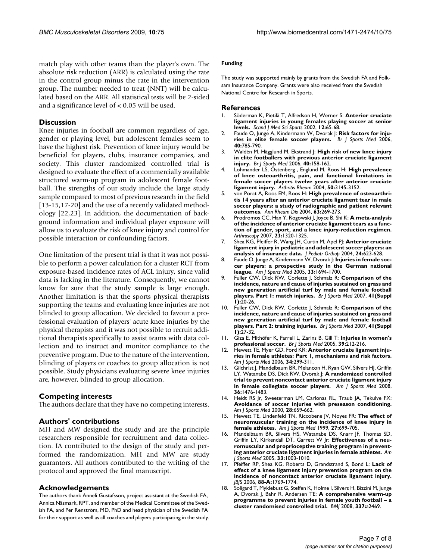match play with other teams than the player's own. The absolute risk reduction (ARR) is calculated using the rate in the control group minus the rate in the intervention group. The number needed to treat (NNT) will be calculated based on the ARR. All statistical tests will be 2-sided and a significance level of < 0.05 will be used.

## **Discussion**

Knee injuries in football are common regardless of age, gender or playing level, but adolescent females seem to have the highest risk. Prevention of knee injury would be beneficial for players, clubs, insurance companies, and society. This cluster randomized controlled trial is designed to evaluate the effect of a commercially available structured warm-up program in adolescent female football. The strengths of our study include the large study sample compared to most of previous research in the field [13-15,17-20] and the use of a recently validated methodology [22,23]. In addition, the documentation of background information and individual player exposure will allow us to evaluate the risk of knee injury and control for possible interaction or confounding factors.

One limitation of the present trial is that it was not possible to perform a power calculation for a cluster RCT from exposure-based incidence rates of ACL injury, since valid data is lacking in the literature. Consequently, we cannot know for sure that the study sample is large enough. Another limitation is that the sports physical therapists supporting the teams and evaluating knee injuries are not blinded to group allocation. We decided to favour a professional evaluation of players' acute knee injuries by the physical therapists and it was not possible to recruit additional therapists specifically to assist teams with data collection and to instruct and monitor compliance to the preventive program. Due to the nature of the intervention, blinding of players or coaches to group allocation is not possible. Study physicians evaluating severe knee injuries are, however, blinded to group allocation.

## **Competing interests**

The authors declare that they have no competing interests.

## **Authors' contributions**

MH and MW designed the study and are the principle researchers responsible for recruitment and data collection. IA contributed to the design of the study and performed the randomization. MH and MW are study guarantors. All authors contributed to the writing of the protocol and approved the final manuscript.

#### **Acknowledgements**

The authors thank Anneli Gustafsson, project assistant at the Swedish FA, Annica Näsmark, RPT, and member of the Medical Committee of the Swedish FA, and Per Renström, MD, PhD and head physician of the Swedish FA for their support as well as all coaches and players participating in the study.

#### **Funding**

The study was supported mainly by grants from the Swedish FA and Folksam Insurance Company. Grants were also received from the Swedish National Centre for Research in Sports.

#### **References**

- 1. Söderman K, Pietilä T, Alfredson H, Werner S: **[Anterior cruciate](http://www.ncbi.nlm.nih.gov/entrez/query.fcgi?cmd=Retrieve&db=PubMed&dopt=Abstract&list_uids=12121422) [ligament injuries in young females playing soccer at senior](http://www.ncbi.nlm.nih.gov/entrez/query.fcgi?cmd=Retrieve&db=PubMed&dopt=Abstract&list_uids=12121422) [levels.](http://www.ncbi.nlm.nih.gov/entrez/query.fcgi?cmd=Retrieve&db=PubMed&dopt=Abstract&list_uids=12121422)** *Scand J Med Sci Sports* 2002, **12:**65-68.
- 2. Faude O, Junge A, Kindermann W, Dvorak J: **[Risk factors for inju](http://www.ncbi.nlm.nih.gov/entrez/query.fcgi?cmd=Retrieve&db=PubMed&dopt=Abstract&list_uids=16825269)[ries in elite female soccer players.](http://www.ncbi.nlm.nih.gov/entrez/query.fcgi?cmd=Retrieve&db=PubMed&dopt=Abstract&list_uids=16825269)** *Br J Sports Med* 2006, **40:**785-790.
- 3. Waldén M, Hägglund M, Ekstrand J: **[High risk of new knee injury](http://www.ncbi.nlm.nih.gov/entrez/query.fcgi?cmd=Retrieve&db=PubMed&dopt=Abstract&list_uids=16432004) [in elite footballers with previous anterior cruciate ligament](http://www.ncbi.nlm.nih.gov/entrez/query.fcgi?cmd=Retrieve&db=PubMed&dopt=Abstract&list_uids=16432004) [injury.](http://www.ncbi.nlm.nih.gov/entrez/query.fcgi?cmd=Retrieve&db=PubMed&dopt=Abstract&list_uids=16432004)** *Br J Sports Med* 2006, **40:**158-162.
- 4. Lohmander LS, Östenberg , Englund M, Roos H: **[High prevalence](http://www.ncbi.nlm.nih.gov/entrez/query.fcgi?cmd=Retrieve&db=PubMed&dopt=Abstract&list_uids=15476248) [of knee osteoarthritis, pain, and functional limitations in](http://www.ncbi.nlm.nih.gov/entrez/query.fcgi?cmd=Retrieve&db=PubMed&dopt=Abstract&list_uids=15476248) female soccer players twelve years after anterior cruciate [ligament injury.](http://www.ncbi.nlm.nih.gov/entrez/query.fcgi?cmd=Retrieve&db=PubMed&dopt=Abstract&list_uids=15476248)** *Arthritis Rheum* 2004, **50:**3145-3152.
- 5. von Porat A, Roos EM, Roos H: **[High prevalence of osteoarthri](http://www.ncbi.nlm.nih.gov/entrez/query.fcgi?cmd=Retrieve&db=PubMed&dopt=Abstract&list_uids=14962961)[tis 14 years after an anterior cruciate ligament tear in male](http://www.ncbi.nlm.nih.gov/entrez/query.fcgi?cmd=Retrieve&db=PubMed&dopt=Abstract&list_uids=14962961) soccer players: a study of radiographic and patient relevant [outcomes.](http://www.ncbi.nlm.nih.gov/entrez/query.fcgi?cmd=Retrieve&db=PubMed&dopt=Abstract&list_uids=14962961)** *Ann Rheum Dis* 2004, **63:**269-273.
- 6. Prodromos CC, Han Y, Rogowski J, Joyce B, Shi K: **[A meta-analysis](http://www.ncbi.nlm.nih.gov/entrez/query.fcgi?cmd=Retrieve&db=PubMed&dopt=Abstract&list_uids=18063176) [of the incidence of anterior cruciate ligament tears as a func](http://www.ncbi.nlm.nih.gov/entrez/query.fcgi?cmd=Retrieve&db=PubMed&dopt=Abstract&list_uids=18063176)tion of gender, sport, and a knee injury-reduction regimen.** *Arthroscopy* 2007, **23:**1320-1325.
- 7. Shea KG, Pfeiffer R, Wang JH, Curtin M, Apel PJ: **[Anterior cruciate](http://www.ncbi.nlm.nih.gov/entrez/query.fcgi?cmd=Retrieve&db=PubMed&dopt=Abstract&list_uids=15502559) [ligament injury in pediatric and adolescent soccer players: an](http://www.ncbi.nlm.nih.gov/entrez/query.fcgi?cmd=Retrieve&db=PubMed&dopt=Abstract&list_uids=15502559) [analysis of insurance data.](http://www.ncbi.nlm.nih.gov/entrez/query.fcgi?cmd=Retrieve&db=PubMed&dopt=Abstract&list_uids=15502559)** *J Pediatr Orthop* 2004, **24:**623-628.
- 8. Faude O, Junge A, Kindermann W, Dvorak J: **[Injuries in female soc](http://www.ncbi.nlm.nih.gov/entrez/query.fcgi?cmd=Retrieve&db=PubMed&dopt=Abstract&list_uids=16093546)[cer players: a prospective study in the German national](http://www.ncbi.nlm.nih.gov/entrez/query.fcgi?cmd=Retrieve&db=PubMed&dopt=Abstract&list_uids=16093546) [league.](http://www.ncbi.nlm.nih.gov/entrez/query.fcgi?cmd=Retrieve&db=PubMed&dopt=Abstract&list_uids=16093546)** *Am J Sports Med* 2005, **33:**1694-1700.
- 9. Fuller CW, Dick RW, Corlette J, Schmalz R: **Comparison of the incidence, nature and cause of injuries sustained on grass and new generation artificial turf by male and female football players. Part 1: match injuries.** *Br J Sports Med* 2007, **41(Suppl 1):**20-26.
- 10. Fuller CW, Dick RW, Corlette J, Schmalz R: **Comparison of the incidence, nature and cause of injuries sustained on grass and new generation artificial turf by male and female football players. Part 2: training injuries.** *Br J Sports Med* 2007, **41(Suppl 1):**27-32.
- 11. Giza E, Mithöfer K, Farrell L, Zarins B, Gill T: **[Injuries in women's](http://www.ncbi.nlm.nih.gov/entrez/query.fcgi?cmd=Retrieve&db=PubMed&dopt=Abstract&list_uids=15793089) [professional soccer.](http://www.ncbi.nlm.nih.gov/entrez/query.fcgi?cmd=Retrieve&db=PubMed&dopt=Abstract&list_uids=15793089)** *Br J Sports Med* 2005, **39:**212-216.
- 12. Hewett TE, Myer GD, Ford KR: **[Anterior cruciate ligament inju](http://www.ncbi.nlm.nih.gov/entrez/query.fcgi?cmd=Retrieve&db=PubMed&dopt=Abstract&list_uids=16423913)[ries in female athletes: Part 1, mechanisms and risk factors.](http://www.ncbi.nlm.nih.gov/entrez/query.fcgi?cmd=Retrieve&db=PubMed&dopt=Abstract&list_uids=16423913)** *Am J Sports Med* 2006, **34:**299-311.
- 13. Gilchrist J, Mandelbaum BR, Melancon H, Ryan GW, Silvers HJ, Griffin LY, Watanabe DS, Dick RW, Dvorak J: **[A randomized controlled](http://www.ncbi.nlm.nih.gov/entrez/query.fcgi?cmd=Retrieve&db=PubMed&dopt=Abstract&list_uids=18658019) [trial to prevent noncontact anterior cruciate ligament injury](http://www.ncbi.nlm.nih.gov/entrez/query.fcgi?cmd=Retrieve&db=PubMed&dopt=Abstract&list_uids=18658019) [in female collegiate soccer players.](http://www.ncbi.nlm.nih.gov/entrez/query.fcgi?cmd=Retrieve&db=PubMed&dopt=Abstract&list_uids=18658019)** *Am J Sports Med* 2008, **36:**1476-1483.
- 14. Heidt RS Jr, Sweeterman LM, Carlonas RL, Traub JA, Tekulve FX: **[Avoidance of soccer injuries with preseason conditioning.](http://www.ncbi.nlm.nih.gov/entrez/query.fcgi?cmd=Retrieve&db=PubMed&dopt=Abstract&list_uids=11032220)** *Am J Sports Med* 2000, **28:**659-662.
- 15. Hewett TE, Lindenfeld TN, Riccobene JV, Noyes FR: **[The effect of](http://www.ncbi.nlm.nih.gov/entrez/query.fcgi?cmd=Retrieve&db=PubMed&dopt=Abstract&list_uids=10569353) [neuromuscular training on the incidence of knee injury in](http://www.ncbi.nlm.nih.gov/entrez/query.fcgi?cmd=Retrieve&db=PubMed&dopt=Abstract&list_uids=10569353) [female athletes.](http://www.ncbi.nlm.nih.gov/entrez/query.fcgi?cmd=Retrieve&db=PubMed&dopt=Abstract&list_uids=10569353)** *Am J Sports Med* 1999, **27:**699-705.
- 16. Mandelbaum BR, Silvers HS, Watanabe DS, Knarr JF, Thomas SD, Griffin LY, Kirkendall DT, Garrett W Jr: **[Effectiveness of a neu](http://www.ncbi.nlm.nih.gov/entrez/query.fcgi?cmd=Retrieve&db=PubMed&dopt=Abstract&list_uids=15888716)[romuscular and proprioceptive training program in prevent](http://www.ncbi.nlm.nih.gov/entrez/query.fcgi?cmd=Retrieve&db=PubMed&dopt=Abstract&list_uids=15888716)[ing anterior cruciate ligament injuries in female athletes.](http://www.ncbi.nlm.nih.gov/entrez/query.fcgi?cmd=Retrieve&db=PubMed&dopt=Abstract&list_uids=15888716)** *Am J Sports Med* 2005, **33:**1003-1010.
- 17. Pfeiffer RP, Shea KG, Roberts D, Grandstrand S, Bond L: **Lack of effect of a knee ligament injury prevention program on the incidence of noncontact anterior cruciate ligament injury.** *JBJS* 2006, **88-A:**1769-1774.
- 18. Soligard T, Myklebust G, Steffen K, Holme I, Silvers H, Bizzini M, Junge A, Dvorak J, Bahr R, Andersen TE: **[A comprehensive warm-up](http://www.ncbi.nlm.nih.gov/entrez/query.fcgi?cmd=Retrieve&db=PubMed&dopt=Abstract&list_uids=19066253) [programme to prevent injuries in female youth football – a](http://www.ncbi.nlm.nih.gov/entrez/query.fcgi?cmd=Retrieve&db=PubMed&dopt=Abstract&list_uids=19066253) [cluster randomised controlled trial.](http://www.ncbi.nlm.nih.gov/entrez/query.fcgi?cmd=Retrieve&db=PubMed&dopt=Abstract&list_uids=19066253)** *BMJ* 2008, **337:**a2469.